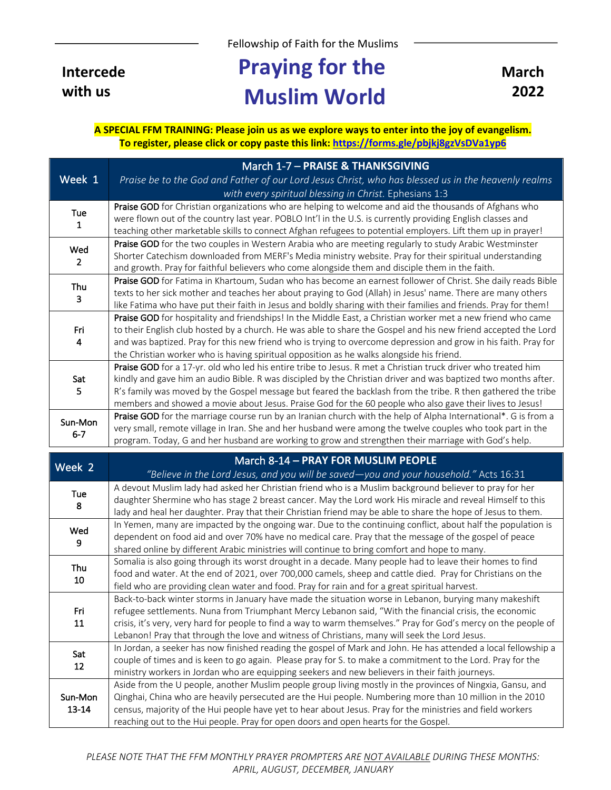Fellowship of Faith for the Muslims

**Intercede with us**

## **Praying for the Muslim World**

**March 2022**

**A SPECIAL FFM TRAINING: Please join us as we explore ways to enter into the joy of evangelism. To register, please click or copy paste this link: https://forms.gle/pbjkj8gzVsDVa1yp6**

|                       | March 1-7 - PRAISE & THANKSGIVING                                                                                |
|-----------------------|------------------------------------------------------------------------------------------------------------------|
| Week 1                | Praise be to the God and Father of our Lord Jesus Christ, who has blessed us in the heavenly realms              |
|                       | with every spiritual blessing in Christ. Ephesians 1:3                                                           |
| Tue<br>1              | Praise GOD for Christian organizations who are helping to welcome and aid the thousands of Afghans who           |
|                       | were flown out of the country last year. POBLO Int'l in the U.S. is currently providing English classes and      |
|                       | teaching other marketable skills to connect Afghan refugees to potential employers. Lift them up in prayer!      |
| Wed<br>$\overline{2}$ | Praise GOD for the two couples in Western Arabia who are meeting regularly to study Arabic Westminster           |
|                       | Shorter Catechism downloaded from MERF's Media ministry website. Pray for their spiritual understanding          |
|                       | and growth. Pray for faithful believers who come alongside them and disciple them in the faith.                  |
| Thu<br>3              | Praise GOD for Fatima in Khartoum, Sudan who has become an earnest follower of Christ. She daily reads Bible     |
|                       | texts to her sick mother and teaches her about praying to God (Allah) in Jesus' name. There are many others      |
|                       | like Fatima who have put their faith in Jesus and boldly sharing with their families and friends. Pray for them! |
|                       | Praise GOD for hospitality and friendships! In the Middle East, a Christian worker met a new friend who came     |
| Fri                   | to their English club hosted by a church. He was able to share the Gospel and his new friend accepted the Lord   |
| 4                     | and was baptized. Pray for this new friend who is trying to overcome depression and grow in his faith. Pray for  |
|                       | the Christian worker who is having spiritual opposition as he walks alongside his friend.                        |
| Sat                   | Praise GOD for a 17-yr. old who led his entire tribe to Jesus. R met a Christian truck driver who treated him    |
|                       | kindly and gave him an audio Bible. R was discipled by the Christian driver and was baptized two months after.   |
| 5                     | R's family was moved by the Gospel message but feared the backlash from the tribe. R then gathered the tribe     |
|                       | members and showed a movie about Jesus. Praise God for the 60 people who also gave their lives to Jesus!         |
| Sun-Mon<br>$6 - 7$    | Praise GOD for the marriage course run by an Iranian church with the help of Alpha International*. G is from a   |
|                       | very small, remote village in Iran. She and her husband were among the twelve couples who took part in the       |
|                       | program. Today, G and her husband are working to grow and strengthen their marriage with God's help.             |
|                       |                                                                                                                  |

| Week 2           | March 8-14 - PRAY FOR MUSLIM PEOPLE                                                                                                                                                                                  |
|------------------|----------------------------------------------------------------------------------------------------------------------------------------------------------------------------------------------------------------------|
|                  | "Believe in the Lord Jesus, and you will be saved-you and your household." Acts $16:31$                                                                                                                              |
| <b>Tue</b><br>8  | A devout Muslim lady had asked her Christian friend who is a Muslim background believer to pray for her<br>daughter Shermine who has stage 2 breast cancer. May the Lord work His miracle and reveal Himself to this |
|                  | lady and heal her daughter. Pray that their Christian friend may be able to share the hope of Jesus to them.                                                                                                         |
| Wed<br>9         | In Yemen, many are impacted by the ongoing war. Due to the continuing conflict, about half the population is                                                                                                         |
|                  | dependent on food aid and over 70% have no medical care. Pray that the message of the gospel of peace                                                                                                                |
|                  | shared online by different Arabic ministries will continue to bring comfort and hope to many.                                                                                                                        |
| Thu              | Somalia is also going through its worst drought in a decade. Many people had to leave their homes to find                                                                                                            |
|                  | food and water. At the end of 2021, over 700,000 camels, sheep and cattle died. Pray for Christians on the                                                                                                           |
| 10               | field who are providing clean water and food. Pray for rain and for a great spiritual harvest.                                                                                                                       |
|                  | Back-to-back winter storms in January have made the situation worse in Lebanon, burying many makeshift                                                                                                               |
| Fri<br>11        | refugee settlements. Nuna from Triumphant Mercy Lebanon said, "With the financial crisis, the economic                                                                                                               |
|                  | crisis, it's very, very hard for people to find a way to warm themselves." Pray for God's mercy on the people of                                                                                                     |
|                  | Lebanon! Pray that through the love and witness of Christians, many will seek the Lord Jesus.                                                                                                                        |
| Sat<br>12        | In Jordan, a seeker has now finished reading the gospel of Mark and John. He has attended a local fellowship a                                                                                                       |
|                  | couple of times and is keen to go again. Please pray for S. to make a commitment to the Lord. Pray for the                                                                                                           |
|                  | ministry workers in Jordan who are equipping seekers and new believers in their faith journeys.                                                                                                                      |
| Sun-Mon<br>13-14 | Aside from the U people, another Muslim people group living mostly in the provinces of Ningxia, Gansu, and                                                                                                           |
|                  | Qinghai, China who are heavily persecuted are the Hui people. Numbering more than 10 million in the 2010                                                                                                             |
|                  | census, majority of the Hui people have yet to hear about Jesus. Pray for the ministries and field workers                                                                                                           |
|                  | reaching out to the Hui people. Pray for open doors and open hearts for the Gospel.                                                                                                                                  |

*PLEASE NOTE THAT THE FFM MONTHLY PRAYER PROMPTERS ARE NOT AVAILABLE DURING THESE MONTHS: APRIL, AUGUST, DECEMBER, JANUARY*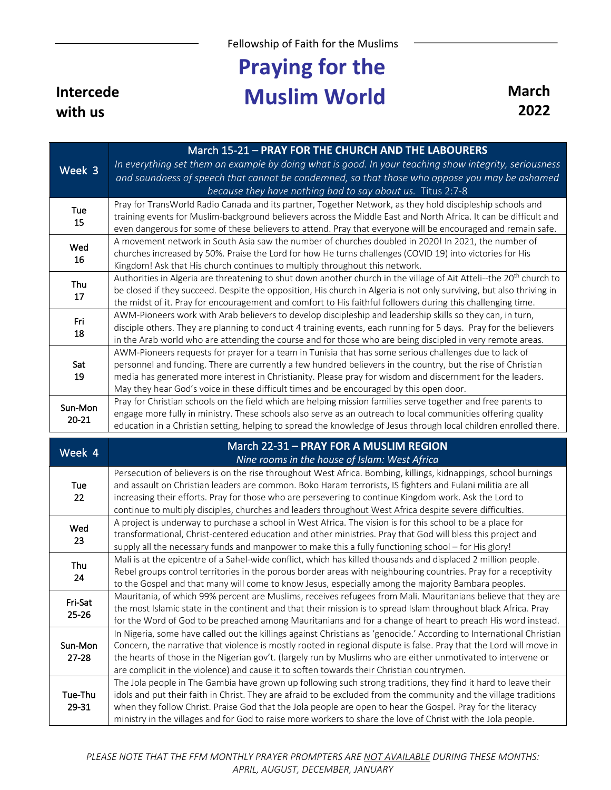Fellowship of Faith for the Muslims

## **Praying for the Muslim World March**

**Intercede with us**

**2022**

| Week 3               | March 15-21 - PRAY FOR THE CHURCH AND THE LABOURERS<br>In everything set them an example by doing what is good. In your teaching show integrity, seriousness<br>and soundness of speech that cannot be condemned, so that those who oppose you may be ashamed<br>because they have nothing bad to say about us. Titus 2:7-8                                                                                                                         |
|----------------------|-----------------------------------------------------------------------------------------------------------------------------------------------------------------------------------------------------------------------------------------------------------------------------------------------------------------------------------------------------------------------------------------------------------------------------------------------------|
| <b>Tue</b><br>15     | Pray for TransWorld Radio Canada and its partner, Together Network, as they hold discipleship schools and<br>training events for Muslim-background believers across the Middle East and North Africa. It can be difficult and<br>even dangerous for some of these believers to attend. Pray that everyone will be encouraged and remain safe.                                                                                                       |
| Wed<br>16            | A movement network in South Asia saw the number of churches doubled in 2020! In 2021, the number of<br>churches increased by 50%. Praise the Lord for how He turns challenges (COVID 19) into victories for His<br>Kingdom! Ask that His church continues to multiply throughout this network.                                                                                                                                                      |
| Thu<br>17            | Authorities in Algeria are threatening to shut down another church in the village of Ait Atteli--the 20 <sup>th</sup> church to<br>be closed if they succeed. Despite the opposition, His church in Algeria is not only surviving, but also thriving in<br>the midst of it. Pray for encouragement and comfort to His faithful followers during this challenging time.                                                                              |
| Fri<br>18            | AWM-Pioneers work with Arab believers to develop discipleship and leadership skills so they can, in turn,<br>disciple others. They are planning to conduct 4 training events, each running for 5 days. Pray for the believers<br>in the Arab world who are attending the course and for those who are being discipled in very remote areas.                                                                                                         |
| Sat<br>19            | AWM-Pioneers requests for prayer for a team in Tunisia that has some serious challenges due to lack of<br>personnel and funding. There are currently a few hundred believers in the country, but the rise of Christian<br>media has generated more interest in Christianity. Please pray for wisdom and discernment for the leaders.<br>May they hear God's voice in these difficult times and be encouraged by this open door.                     |
|                      |                                                                                                                                                                                                                                                                                                                                                                                                                                                     |
| Sun-Mon<br>$20 - 21$ | Pray for Christian schools on the field which are helping mission families serve together and free parents to<br>engage more fully in ministry. These schools also serve as an outreach to local communities offering quality<br>education in a Christian setting, helping to spread the knowledge of Jesus through local children enrolled there.                                                                                                  |
| Week 4               | March 22-31 - PRAY FOR A MUSLIM REGION<br>Nine rooms in the house of Islam: West Africa                                                                                                                                                                                                                                                                                                                                                             |
| Tue<br>22            | Persecution of believers is on the rise throughout West Africa. Bombing, killings, kidnappings, school burnings<br>and assault on Christian leaders are common. Boko Haram terrorists, IS fighters and Fulani militia are all<br>increasing their efforts. Pray for those who are persevering to continue Kingdom work. Ask the Lord to<br>continue to multiply disciples, churches and leaders throughout West Africa despite severe difficulties. |

Thu 24 Mali is at the epicentre of a Sahel-wide conflict, which has killed thousands and displaced 2 million people. Rebel groups control territories in the porous border areas with neighbouring countries. Pray for a receptivity to the Gospel and that many will come to know Jesus, especially among the majority Bambara peoples.

Fri-Sat 25-26 Mauritania, of which 99% percent are Muslims, receives refugees from Mali. Mauritanians believe that they are the most Islamic state in the continent and that their mission is to spread Islam throughout black Africa. Pray for the Word of God to be preached among Mauritanians and for a change of heart to preach His word instead. Sun-Mon 27-28 In Nigeria, some have called out the killings against Christians as 'genocide.' According to International Christian Concern, the narrative that violence is mostly rooted in regional dispute is false. Pray that the Lord will move in the hearts of those in the Nigerian gov't. (largely run by Muslims who are either unmotivated to intervene or are complicit in the violence) and cause it to soften towards their Christian countrymen.

Tue-Thu 29-31 The Jola people in The Gambia have grown up following such strong traditions, they find it hard to leave their idols and put their faith in Christ. They are afraid to be excluded from the community and the village traditions when they follow Christ. Praise God that the Jola people are open to hear the Gospel. Pray for the literacy ministry in the villages and for God to raise more workers to share the love of Christ with the Jola people.

*PLEASE NOTE THAT THE FFM MONTHLY PRAYER PROMPTERS ARE NOT AVAILABLE DURING THESE MONTHS: APRIL, AUGUST, DECEMBER, JANUARY*